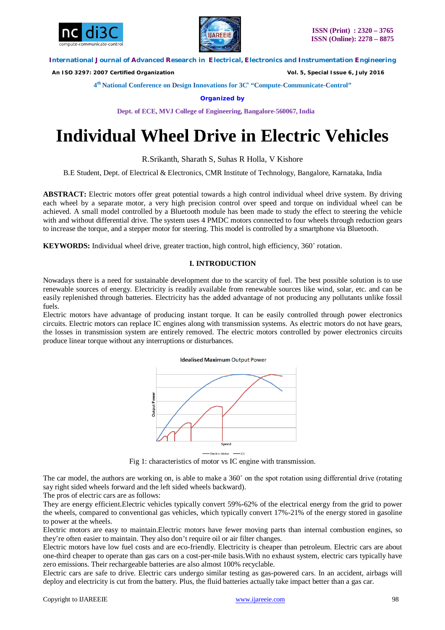



 *An ISO 3297: 2007 Certified Organization Vol. 5, Special Issue 6, July 2016*

**4 th National Conference on Design Innovations for 3C s "Compute-Communicate-Control"** 

**Organized by**

**Dept. of ECE, MVJ College of Engineering, Bangalore-560067, India**

# **Individual Wheel Drive in Electric Vehicles**

R.Srikanth, Sharath S, Suhas R Holla, V Kishore

B.E Student, Dept. of Electrical & Electronics, CMR Institute of Technology, Bangalore, Karnataka, India

**ABSTRACT:** Electric motors offer great potential towards a high control individual wheel drive system. By driving each wheel by a separate motor, a very high precision control over speed and torque on individual wheel can be achieved. A small model controlled by a Bluetooth module has been made to study the effect to steering the vehicle with and without differential drive. The system uses 4 PMDC motors connected to four wheels through reduction gears to increase the torque, and a stepper motor for steering. This model is controlled by a smartphone via Bluetooth.

**KEYWORDS:** Individual wheel drive, greater traction, high control, high efficiency, 360˚ rotation.

# **I. INTRODUCTION**

Nowadays there is a need for sustainable development due to the scarcity of fuel. The best possible solution is to use renewable sources of energy. Electricity is readily available from renewable sources like wind, solar, etc. and can be easily replenished through batteries. Electricity has the added advantage of not producing any pollutants unlike fossil fuels.

Electric motors have advantage of producing instant torque. It can be easily controlled through power electronics circuits. Electric motors can replace IC engines along with transmission systems. As electric motors do not have gears, the losses in transmission system are entirely removed. The electric motors controlled by power electronics circuits produce linear torque without any interruptions or disturbances.

#### **Idealised Maximum Output Power**



Fig 1: characteristics of motor vs IC engine with transmission.

The car model, the authors are working on, is able to make a 360° on the spot rotation using differential drive (rotating say right sided wheels forward and the left sided wheels backward).

The pros of electric cars are as follows:

They are energy efficient.Electric vehicles typically convert 59%-62% of the electrical energy from the grid to power the wheels, compared to conventional gas vehicles, which typically convert 17%-21% of the energy stored in gasoline to power at the wheels.

Electric motors are easy to maintain.Electric motors have fewer moving parts than internal combustion engines, so they're often easier to maintain. They also don't require oil or air filter changes.

Electric motors have low fuel costs and are eco-friendly. Electricity is cheaper than petroleum. Electric cars are about one-third cheaper to operate than gas cars on a cost-per-mile basis.With no exhaust system, electric cars typically have zero emissions. Their rechargeable batteries are also almost 100% recyclable.

Electric cars are safe to drive. Electric cars undergo similar testing as gas-powered cars. In an accident, airbags will deploy and electricity is cut from the battery. Plus, the fluid batteries actually take impact better than a gas car.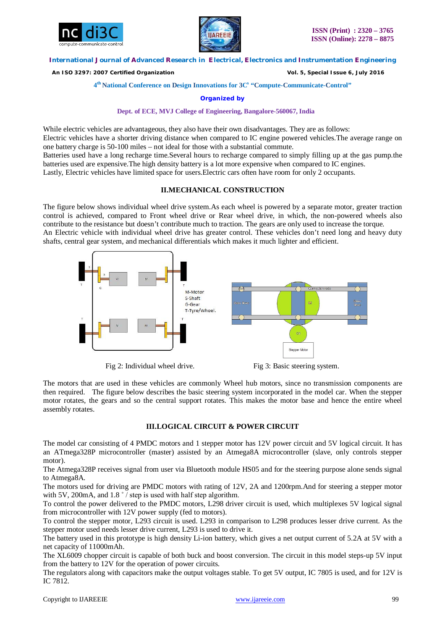



 *An ISO 3297: 2007 Certified Organization Vol. 5, Special Issue 6, July 2016*

**4 th National Conference on Design Innovations for 3C s "Compute-Communicate-Control"** 

**Organized by**

#### **Dept. of ECE, MVJ College of Engineering, Bangalore-560067, India**

While electric vehicles are advantageous, they also have their own disadvantages. They are as follows: Electric vehicles have a shorter driving distance when compared to IC engine powered vehicles.The average range on one battery charge is 50-100 miles – not ideal for those with a substantial commute. Batteries used have a long recharge time.Several hours to recharge compared to simply filling up at the gas pump.the

batteries used are expensive.The high density battery is a lot more expensive when compared to IC engines. Lastly, Electric vehicles have limited space for users.Electric cars often have room for only 2 occupants.

# **II.MECHANICAL CONSTRUCTION**

The figure below shows individual wheel drive system.As each wheel is powered by a separate motor, greater traction control is achieved, compared to Front wheel drive or Rear wheel drive, in which, the non-powered wheels also contribute to the resistance but doesn't contribute much to traction. The gears are only used to increase the torque. An Electric vehicle with individual wheel drive has greater control. These vehicles don't need long and heavy duty shafts, central gear system, and mechanical differentials which makes it much lighter and efficient.



Fig 2: Individual wheel drive. Fig 3: Basic steering system.

The motors that are used in these vehicles are commonly Wheel hub motors, since no transmission components are then required. The figure below describes the basic steering system incorporated in the model car. When the stepper motor rotates, the gears and so the central support rotates. This makes the motor base and hence the entire wheel assembly rotates.

# **III.LOGICAL CIRCUIT & POWER CIRCUIT**

The model car consisting of 4 PMDC motors and 1 stepper motor has 12V power circuit and 5V logical circuit. It has an ATmega328P microcontroller (master) assisted by an Atmega8A microcontroller (slave, only controls stepper motor).

The Atmega328P receives signal from user via Bluetooth module HS05 and for the steering purpose alone sends signal to Atmega8A.

The motors used for driving are PMDC motors with rating of 12V, 2A and 1200rpm.And for steering a stepper motor with 5V, 200mA, and 1.8  $\degree$  / step is used with half step algorithm.

To control the power delivered to the PMDC motors, L298 driver circuit is used, which multiplexes 5V logical signal from microcontroller with 12V power supply (fed to motors).

To control the stepper motor, L293 circuit is used. L293 in comparison to L298 produces lesser drive current. As the stepper motor used needs lesser drive current, L293 is used to drive it.

The battery used in this prototype is high density Li-ion battery, which gives a net output current of 5.2A at 5V with a net capacity of 11000mAh.

The XL6009 chopper circuit is capable of both buck and boost conversion. The circuit in this model steps-up 5V input from the battery to 12V for the operation of power circuits.

The regulators along with capacitors make the output voltages stable. To get 5V output, IC 7805 is used, and for 12V is IC 7812.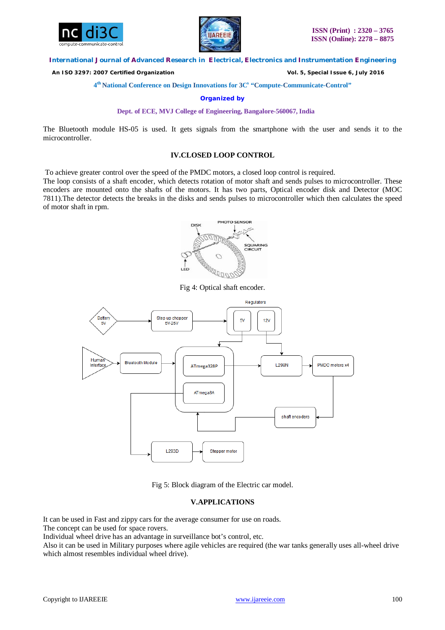



 *An ISO 3297: 2007 Certified Organization Vol. 5, Special Issue 6, July 2016*

**4 th National Conference on Design Innovations for 3C s "Compute-Communicate-Control"** 

**Organized by**

**Dept. of ECE, MVJ College of Engineering, Bangalore-560067, India**

The Bluetooth module HS-05 is used. It gets signals from the smartphone with the user and sends it to the microcontroller.

## **IV.CLOSED LOOP CONTROL**

To achieve greater control over the speed of the PMDC motors, a closed loop control is required.

The loop consists of a shaft encoder, which detects rotation of motor shaft and sends pulses to microcontroller. These encoders are mounted onto the shafts of the motors. It has two parts, Optical encoder disk and Detector (MOC 7811).The detector detects the breaks in the disks and sends pulses to microcontroller which then calculates the speed of motor shaft in rpm.



Fig 4: Optical shaft encoder.



Fig 5: Block diagram of the Electric car model.

# **V.APPLICATIONS**

It can be used in Fast and zippy cars for the average consumer for use on roads.

The concept can be used for space rovers.

Individual wheel drive has an advantage in surveillance bot's control, etc.

Also it can be used in Military purposes where agile vehicles are required (the war tanks generally uses all-wheel drive which almost resembles individual wheel drive).